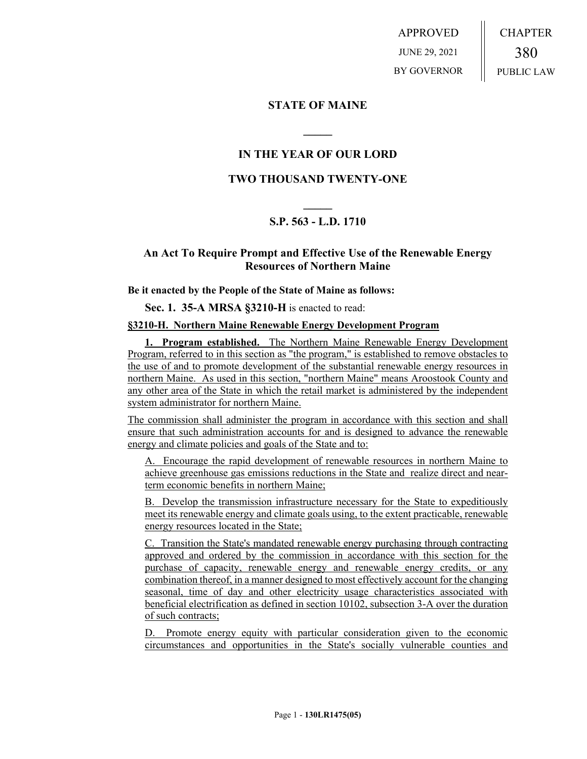APPROVED JUNE 29, 2021 BY GOVERNOR CHAPTER 380 PUBLIC LAW

### **STATE OF MAINE**

# **IN THE YEAR OF OUR LORD**

**\_\_\_\_\_**

# **TWO THOUSAND TWENTY-ONE**

# **\_\_\_\_\_ S.P. 563 - L.D. 1710**

### **An Act To Require Prompt and Effective Use of the Renewable Energy Resources of Northern Maine**

#### **Be it enacted by the People of the State of Maine as follows:**

**Sec. 1. 35-A MRSA §3210-H** is enacted to read:

#### **§3210-H. Northern Maine Renewable Energy Development Program**

**1. Program established.** The Northern Maine Renewable Energy Development Program, referred to in this section as "the program," is established to remove obstacles to the use of and to promote development of the substantial renewable energy resources in northern Maine. As used in this section, "northern Maine" means Aroostook County and any other area of the State in which the retail market is administered by the independent system administrator for northern Maine.

The commission shall administer the program in accordance with this section and shall ensure that such administration accounts for and is designed to advance the renewable energy and climate policies and goals of the State and to:

A. Encourage the rapid development of renewable resources in northern Maine to achieve greenhouse gas emissions reductions in the State and realize direct and nearterm economic benefits in northern Maine;

B. Develop the transmission infrastructure necessary for the State to expeditiously meet its renewable energy and climate goals using, to the extent practicable, renewable energy resources located in the State;

C. Transition the State's mandated renewable energy purchasing through contracting approved and ordered by the commission in accordance with this section for the purchase of capacity, renewable energy and renewable energy credits, or any combination thereof, in a manner designed to most effectively account for the changing seasonal, time of day and other electricity usage characteristics associated with beneficial electrification as defined in section 10102, subsection 3-A over the duration of such contracts;

D. Promote energy equity with particular consideration given to the economic circumstances and opportunities in the State's socially vulnerable counties and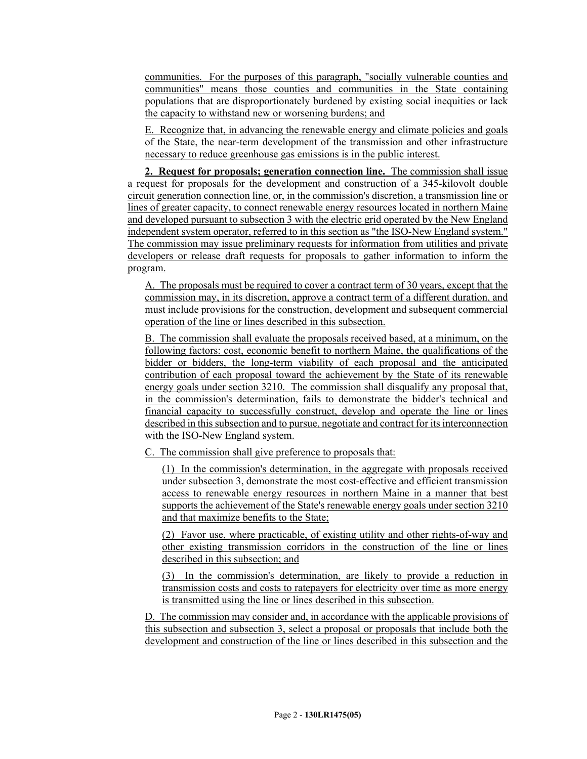communities. For the purposes of this paragraph, "socially vulnerable counties and communities" means those counties and communities in the State containing populations that are disproportionately burdened by existing social inequities or lack the capacity to withstand new or worsening burdens; and

E. Recognize that, in advancing the renewable energy and climate policies and goals of the State, the near-term development of the transmission and other infrastructure necessary to reduce greenhouse gas emissions is in the public interest.

**2. Request for proposals; generation connection line.** The commission shall issue a request for proposals for the development and construction of a 345-kilovolt double circuit generation connection line, or, in the commission's discretion, a transmission line or lines of greater capacity, to connect renewable energy resources located in northern Maine and developed pursuant to subsection 3 with the electric grid operated by the New England independent system operator, referred to in this section as "the ISO-New England system." The commission may issue preliminary requests for information from utilities and private developers or release draft requests for proposals to gather information to inform the program.

A. The proposals must be required to cover a contract term of 30 years, except that the commission may, in its discretion, approve a contract term of a different duration, and must include provisions for the construction, development and subsequent commercial operation of the line or lines described in this subsection.

B. The commission shall evaluate the proposals received based, at a minimum, on the following factors: cost, economic benefit to northern Maine, the qualifications of the bidder or bidders, the long-term viability of each proposal and the anticipated contribution of each proposal toward the achievement by the State of its renewable energy goals under section 3210. The commission shall disqualify any proposal that, in the commission's determination, fails to demonstrate the bidder's technical and financial capacity to successfully construct, develop and operate the line or lines described in this subsection and to pursue, negotiate and contract for its interconnection with the ISO-New England system.

C. The commission shall give preference to proposals that:

(1) In the commission's determination, in the aggregate with proposals received under subsection 3, demonstrate the most cost-effective and efficient transmission access to renewable energy resources in northern Maine in a manner that best supports the achievement of the State's renewable energy goals under section 3210 and that maximize benefits to the State;

(2) Favor use, where practicable, of existing utility and other rights-of-way and other existing transmission corridors in the construction of the line or lines described in this subsection; and

(3) In the commission's determination, are likely to provide a reduction in transmission costs and costs to ratepayers for electricity over time as more energy is transmitted using the line or lines described in this subsection.

D. The commission may consider and, in accordance with the applicable provisions of this subsection and subsection 3, select a proposal or proposals that include both the development and construction of the line or lines described in this subsection and the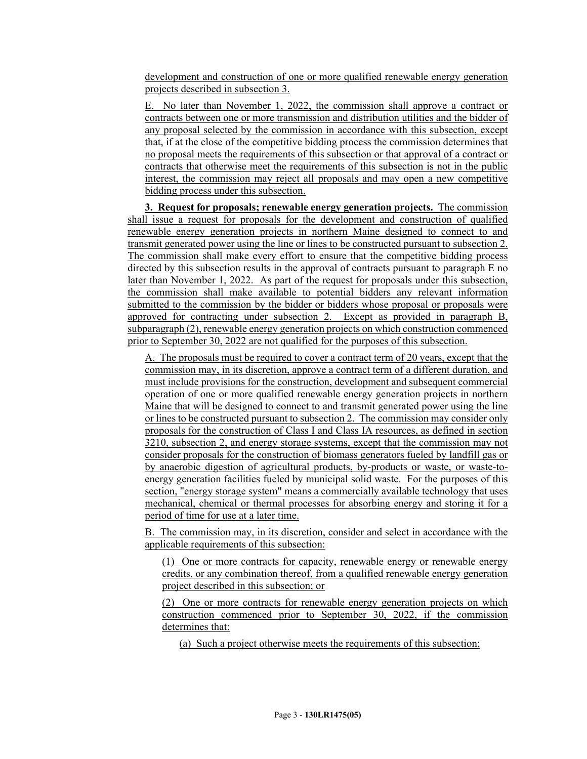development and construction of one or more qualified renewable energy generation projects described in subsection 3.

E. No later than November 1, 2022, the commission shall approve a contract or contracts between one or more transmission and distribution utilities and the bidder of any proposal selected by the commission in accordance with this subsection, except that, if at the close of the competitive bidding process the commission determines that no proposal meets the requirements of this subsection or that approval of a contract or contracts that otherwise meet the requirements of this subsection is not in the public interest, the commission may reject all proposals and may open a new competitive bidding process under this subsection.

**3. Request for proposals; renewable energy generation projects.** The commission shall issue a request for proposals for the development and construction of qualified renewable energy generation projects in northern Maine designed to connect to and transmit generated power using the line or lines to be constructed pursuant to subsection 2. The commission shall make every effort to ensure that the competitive bidding process directed by this subsection results in the approval of contracts pursuant to paragraph E no later than November 1, 2022. As part of the request for proposals under this subsection, the commission shall make available to potential bidders any relevant information submitted to the commission by the bidder or bidders whose proposal or proposals were approved for contracting under subsection 2. Except as provided in paragraph B, subparagraph (2), renewable energy generation projects on which construction commenced prior to September 30, 2022 are not qualified for the purposes of this subsection.

A. The proposals must be required to cover a contract term of 20 years, except that the commission may, in its discretion, approve a contract term of a different duration, and must include provisions for the construction, development and subsequent commercial operation of one or more qualified renewable energy generation projects in northern Maine that will be designed to connect to and transmit generated power using the line or lines to be constructed pursuant to subsection 2. The commission may consider only proposals for the construction of Class I and Class IA resources, as defined in section 3210, subsection 2, and energy storage systems, except that the commission may not consider proposals for the construction of biomass generators fueled by landfill gas or by anaerobic digestion of agricultural products, by-products or waste, or waste-toenergy generation facilities fueled by municipal solid waste. For the purposes of this section, "energy storage system" means a commercially available technology that uses mechanical, chemical or thermal processes for absorbing energy and storing it for a period of time for use at a later time.

B. The commission may, in its discretion, consider and select in accordance with the applicable requirements of this subsection:

(1) One or more contracts for capacity, renewable energy or renewable energy credits, or any combination thereof, from a qualified renewable energy generation project described in this subsection; or

(2) One or more contracts for renewable energy generation projects on which construction commenced prior to September 30, 2022, if the commission determines that:

(a) Such a project otherwise meets the requirements of this subsection;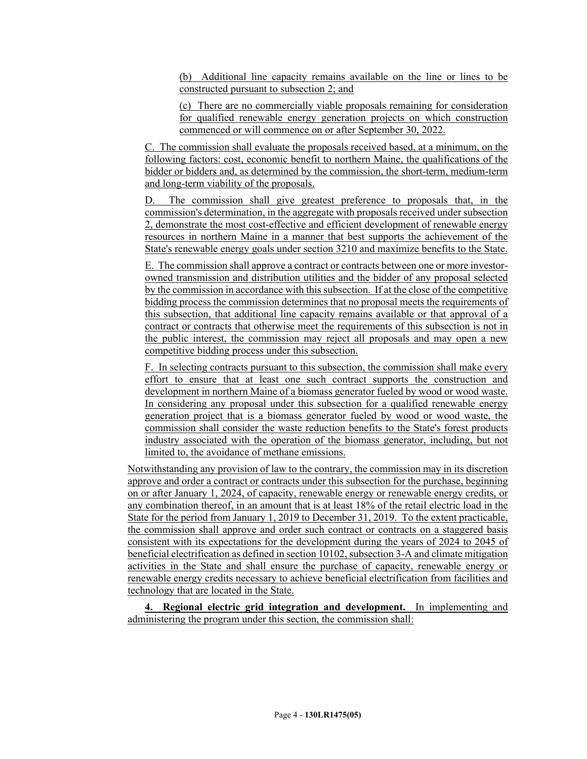(b) Additional line capacity remains available on the line or lines to be constructed pursuant to subsection 2; and

(c) There are no commercially viable proposals remaining for consideration for qualified renewable energy generation projects on which construction commenced or will commence on or after September 30, 2022.

C. The commission shall evaluate the proposals received based, at a minimum, on the following factors: cost, economic benefit to northern Maine, the qualifications of the bidder or bidders and, as determined by the commission, the short-term, medium-term and long-term viability of the proposals.

D. The commission shall give greatest preference to proposals that, in the commission's determination, in the aggregate with proposals received under subsection 2, demonstrate the most cost-effective and efficient development of renewable energy resources in northern Maine in a manner that best supports the achievement of the State's renewable energy goals under section 3210 and maximize benefits to the State.

E. The commission shall approve a contract or contracts between one or more investorowned transmission and distribution utilities and the bidder of any proposal selected by the commission in accordance with this subsection. If at the close of the competitive bidding process the commission determines that no proposal meets the requirements of this subsection, that additional line capacity remains available or that approval of a contract or contracts that otherwise meet the requirements of this subsection is not in the public interest, the commission may reject all proposals and may open a new competitive bidding process under this subsection.

F. In selecting contracts pursuant to this subsection, the commission shall make every effort to ensure that at least one such contract supports the construction and development in northern Maine of a biomass generator fueled by wood or wood waste. In considering any proposal under this subsection for a qualified renewable energy generation project that is a biomass generator fueled by wood or wood waste, the commission shall consider the waste reduction benefits to the State's forest products industry associated with the operation of the biomass generator, including, but not limited to, the avoidance of methane emissions.

Notwithstanding any provision of law to the contrary, the commission may in its discretion approve and order a contract or contracts under this subsection for the purchase, beginning on or after January 1, 2024, of capacity, renewable energy or renewable energy credits, or any combination thereof, in an amount that is at least 18% of the retail electric load in the State for the period from January 1, 2019 to December 31, 2019. To the extent practicable, the commission shall approve and order such contract or contracts on a staggered basis consistent with its expectations for the development during the years of 2024 to 2045 of beneficial electrification as defined in section 10102, subsection 3-A and climate mitigation activities in the State and shall ensure the purchase of capacity, renewable energy or renewable energy credits necessary to achieve beneficial electrification from facilities and technology that are located in the State.

**4. Regional electric grid integration and development.** In implementing and administering the program under this section, the commission shall: